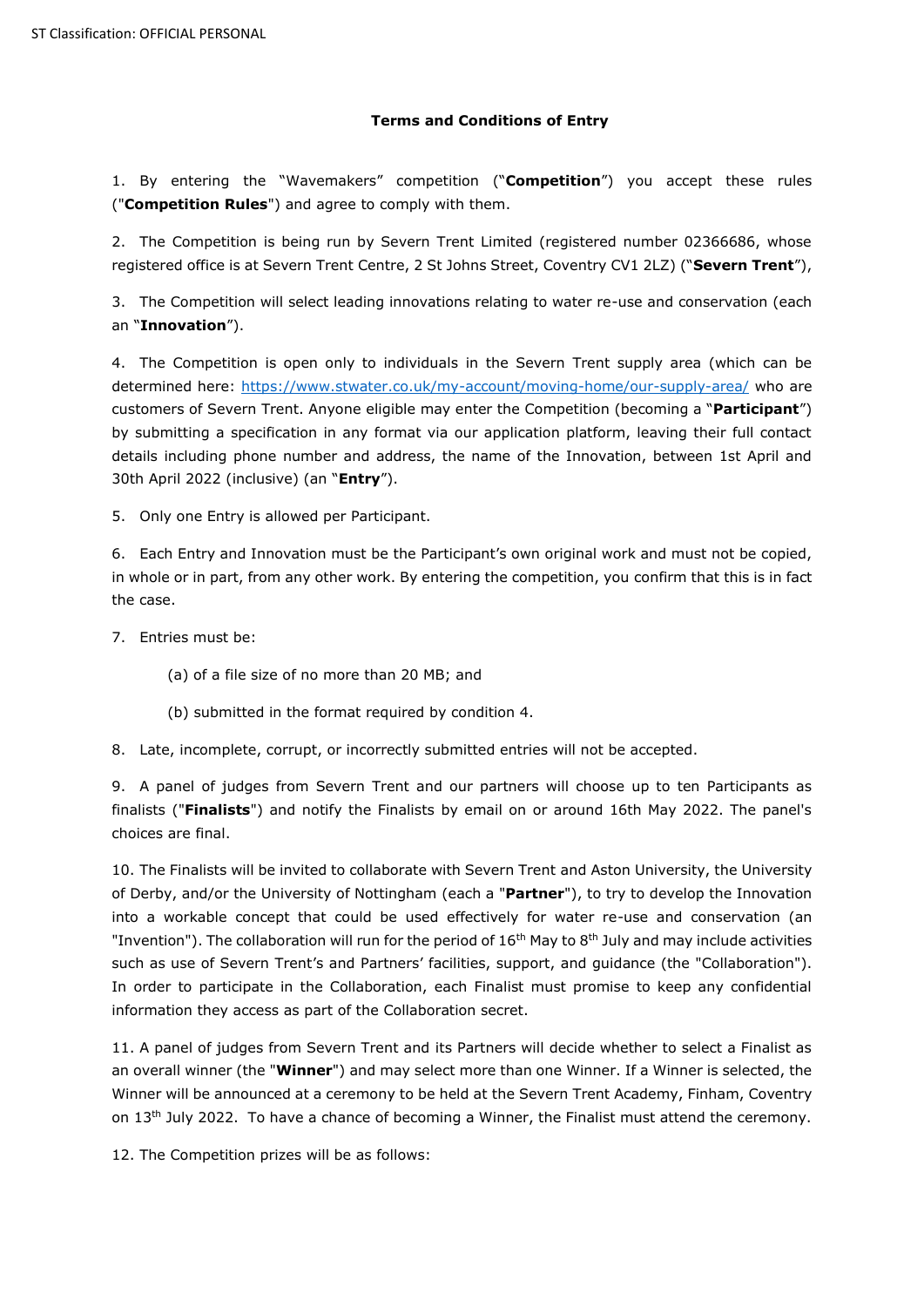## **Terms and Conditions of Entry**

1. By entering the "Wavemakers" competition ("**Competition**") you accept these rules ("**Competition Rules**") and agree to comply with them.

2. The Competition is being run by Severn Trent Limited (registered number 02366686, whose registered office is at Severn Trent Centre, 2 St Johns Street, Coventry CV1 2LZ) ("**Severn Trent**"),

3. The Competition will select leading innovations relating to water re-use and conservation (each an "**Innovation**").

4. The Competition is open only to individuals in the Severn Trent supply area (which can be determined here: <https://www.stwater.co.uk/my-account/moving-home/our-supply-area/> who are customers of Severn Trent. Anyone eligible may enter the Competition (becoming a "**Participant**") by submitting a specification in any format via our application platform, leaving their full contact details including phone number and address, the name of the Innovation, between 1st April and 30th April 2022 (inclusive) (an "**Entry**").

5. Only one Entry is allowed per Participant.

6. Each Entry and Innovation must be the Participant's own original work and must not be copied, in whole or in part, from any other work. By entering the competition, you confirm that this is in fact the case.

7. Entries must be:

- (a) of a file size of no more than 20 MB; and
- (b) submitted in the format required by condition 4.
- 8. Late, incomplete, corrupt, or incorrectly submitted entries will not be accepted.

9. A panel of judges from Severn Trent and our partners will choose up to ten Participants as finalists ("**Finalists**") and notify the Finalists by email on or around 16th May 2022. The panel's choices are final.

10. The Finalists will be invited to collaborate with Severn Trent and Aston University, the University of Derby, and/or the University of Nottingham (each a "**Partner**"), to try to develop the Innovation into a workable concept that could be used effectively for water re-use and conservation (an "Invention"). The collaboration will run for the period of  $16<sup>th</sup>$  May to 8<sup>th</sup> July and may include activities such as use of Severn Trent's and Partners' facilities, support, and guidance (the "Collaboration"). In order to participate in the Collaboration, each Finalist must promise to keep any confidential information they access as part of the Collaboration secret.

11. A panel of judges from Severn Trent and its Partners will decide whether to select a Finalist as an overall winner (the "**Winner**") and may select more than one Winner. If a Winner is selected, the Winner will be announced at a ceremony to be held at the Severn Trent Academy, Finham, Coventry on 13<sup>th</sup> July 2022. To have a chance of becoming a Winner, the Finalist must attend the ceremony.

12. The Competition prizes will be as follows: